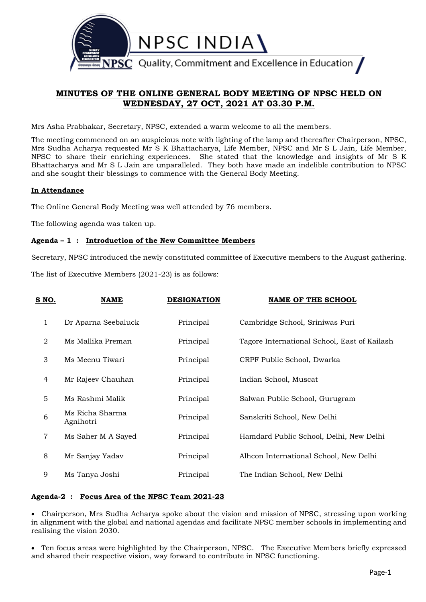

# **MINUTES OF THE ONLINE GENERAL BODY MEETING OF NPSC HELD ON WEDNESDAY, 27 OCT, 2021 AT 03.30 P.M.**

Mrs Asha Prabhakar, Secretary, NPSC, extended a warm welcome to all the members.

The meeting commenced on an auspicious note with lighting of the lamp and thereafter Chairperson, NPSC, Mrs Sudha Acharya requested Mr S K Bhattacharya, Life Member, NPSC and Mr S L Jain, Life Member, NPSC to share their enriching experiences. She stated that the knowledge and insights of Mr S K Bhattacharya and Mr S L Jain are unparalleled. They both have made an indelible contribution to NPSC and she sought their blessings to commence with the General Body Meeting.

## **In Attendance**

The Online General Body Meeting was well attended by 76 members.

The following agenda was taken up.

## **Agenda – 1 : Introduction of the New Committee Members**

Secretary, NPSC introduced the newly constituted committee of Executive members to the August gathering.

The list of Executive Members (2021-23) is as follows:

| <u>S NO.</u>   | <b>NAME</b>                  | <b>DESIGNATION</b> | <b>NAME OF THE SCHOOL</b>                    |
|----------------|------------------------------|--------------------|----------------------------------------------|
| $\mathbf{1}$   | Dr Aparna Seebaluck          | Principal          | Cambridge School, Sriniwas Puri              |
| $\overline{2}$ | Ms Mallika Preman            | Principal          | Tagore International School, East of Kailash |
| 3              | Ms Meenu Tiwari              | Principal          | CRPF Public School, Dwarka                   |
| 4              | Mr Rajeev Chauhan            | Principal          | Indian School, Muscat                        |
| 5              | Ms Rashmi Malik              | Principal          | Salwan Public School, Gurugram               |
| 6              | Ms Richa Sharma<br>Agnihotri | Principal          | Sanskriti School, New Delhi                  |
| $\overline{7}$ | Ms Saher M A Sayed           | Principal          | Hamdard Public School, Delhi, New Delhi      |
| 8              | Mr Sanjay Yadav              | Principal          | Alhcon International School, New Delhi       |
| 9              | Ms Tanya Joshi               | Principal          | The Indian School, New Delhi                 |

## **Agenda-2 : Focus Area of the NPSC Team 2021-23**

 Chairperson, Mrs Sudha Acharya spoke about the vision and mission of NPSC, stressing upon working in alignment with the global and national agendas and facilitate NPSC member schools in implementing and realising the vision 2030.

 Ten focus areas were highlighted by the Chairperson, NPSC. The Executive Members briefly expressed and shared their respective vision, way forward to contribute in NPSC functioning.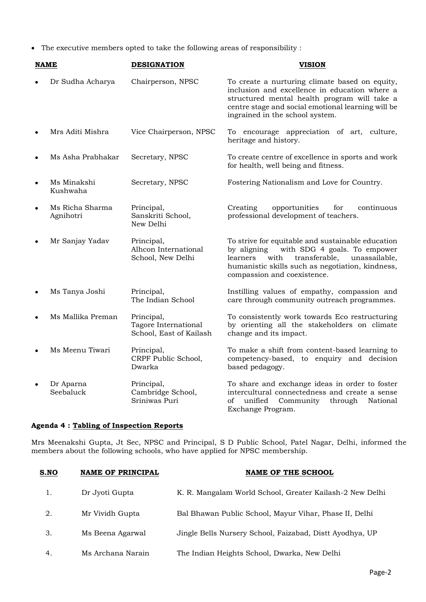The executive members opted to take the following areas of responsibility :

| NAME      |                              | <b>DESIGNATION</b>                                            | <b>VISION</b>                                                                                                                                                                                                                             |
|-----------|------------------------------|---------------------------------------------------------------|-------------------------------------------------------------------------------------------------------------------------------------------------------------------------------------------------------------------------------------------|
|           | Dr Sudha Acharya             | Chairperson, NPSC                                             | To create a nurturing climate based on equity,<br>inclusion and excellence in education where a<br>structured mental health program will take a<br>centre stage and social emotional learning will be<br>ingrained in the school system.  |
| $\bullet$ | Mrs Aditi Mishra             | Vice Chairperson, NPSC                                        | To encourage appreciation of art, culture,<br>heritage and history.                                                                                                                                                                       |
| $\bullet$ | Ms Asha Prabhakar            | Secretary, NPSC                                               | To create centre of excellence in sports and work<br>for health, well being and fitness.                                                                                                                                                  |
| $\bullet$ | Ms Minakshi<br>Kushwaha      | Secretary, NPSC                                               | Fostering Nationalism and Love for Country.                                                                                                                                                                                               |
| $\bullet$ | Ms Richa Sharma<br>Agnihotri | Principal,<br>Sanskriti School,<br>New Delhi                  | Creating<br>opportunities<br>for<br>continuous<br>professional development of teachers.                                                                                                                                                   |
|           | Mr Sanjay Yadav              | Principal,<br>Alhcon International<br>School, New Delhi       | To strive for equitable and sustainable education<br>by aligning<br>with SDG 4 goals. To empower<br>with<br>transferable,<br>unassailable,<br>learners<br>humanistic skills such as negotiation, kindness,<br>compassion and coexistence. |
|           | Ms Tanya Joshi               | Principal,<br>The Indian School                               | Instilling values of empathy, compassion and<br>care through community outreach programmes.                                                                                                                                               |
| $\bullet$ | Ms Mallika Preman            | Principal,<br>Tagore International<br>School, East of Kailash | To consistently work towards Eco restructuring<br>by orienting all the stakeholders on climate<br>change and its impact.                                                                                                                  |
| $\bullet$ | Ms Meenu Tiwari              | Principal,<br>CRPF Public School,<br>Dwarka                   | To make a shift from content-based learning to<br>competency-based, to enquiry and decision<br>based pedagogy.                                                                                                                            |
| $\bullet$ | Dr Aparna<br>Seebaluck       | Principal,<br>Cambridge School,<br>Sriniwas Puri              | To share and exchange ideas in order to foster<br>intercultural connectedness and create a sense<br>unified<br>Community<br>through<br>of<br>National<br>Exchange Program.                                                                |

## **Agenda 4 : Tabling of Inspection Reports**

Mrs Meenakshi Gupta, Jt Sec, NPSC and Principal, S D Public School, Patel Nagar, Delhi, informed the members about the following schools, who have applied for NPSC membership.

| S.NO | <b>NAME OF PRINCIPAL</b> | NAME OF THE SCHOOL                                       |
|------|--------------------------|----------------------------------------------------------|
| 1.   | Dr Jyoti Gupta           | K. R. Mangalam World School, Greater Kailash-2 New Delhi |
| 2.   | Mr Vividh Gupta          | Bal Bhawan Public School, Mayur Vihar, Phase II, Delhi   |
| 3.   | Ms Beena Agarwal         | Jingle Bells Nursery School, Faizabad, Distt Ayodhya, UP |
| 4.   | Ms Archana Narain        | The Indian Heights School, Dwarka, New Delhi             |